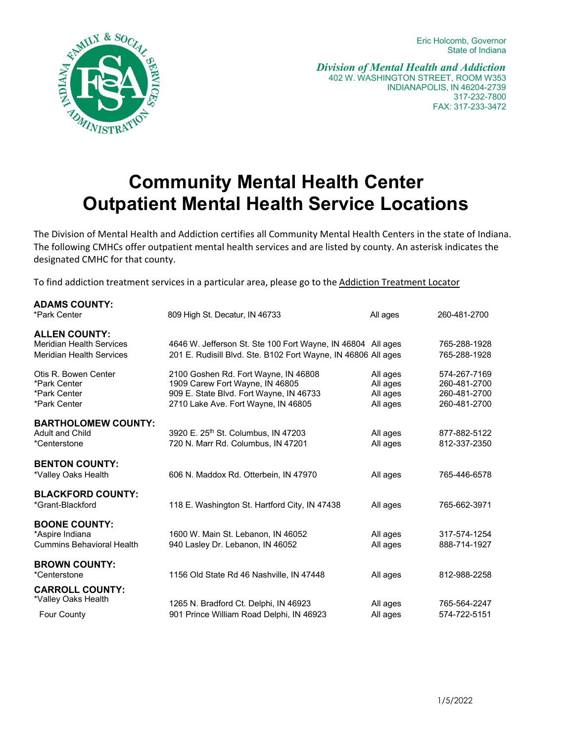Eric Holcomb, Governor State of Indiana



*Division of Mental Health and Addiction* 402 W. WASHINGTON STREET, ROOM W353 INDIANAPOLIS, IN 46204-2739 317-232-7800 FAX: 317-233-3472

# **Community Mental Health Center Outpatient Mental Health Service Locations**

The Division of Mental Health and Addiction certifies all Community Mental Health Centers in the state of Indiana. The following CMHCs offer outpatient mental health services and are listed by county. An asterisk indicates the designated CMHC for that county.

To find addiction treatment services in a particular area, please go to the Addiction [Treatment](https://www.in.gov/fssa/addiction/) Locator

| <b>ADAMS COUNTY:</b><br>*Park Center                                                       | 809 High St. Decatur, IN 46733                                                                                                                            | All ages                                     | 260-481-2700                                                 |
|--------------------------------------------------------------------------------------------|-----------------------------------------------------------------------------------------------------------------------------------------------------------|----------------------------------------------|--------------------------------------------------------------|
| <b>ALLEN COUNTY:</b><br><b>Meridian Health Services</b><br><b>Meridian Health Services</b> | 4646 W. Jefferson St. Ste 100 Fort Wayne, IN 46804 All ages<br>201 E. Rudisill Blvd. Ste. B102 Fort Wayne, IN 46806 All ages                              |                                              | 765-288-1928<br>765-288-1928                                 |
| Otis R. Bowen Center<br>*Park Center<br>*Park Center<br>*Park Center                       | 2100 Goshen Rd. Fort Wayne, IN 46808<br>1909 Carew Fort Wayne, IN 46805<br>909 E. State Blvd. Fort Wayne, IN 46733<br>2710 Lake Ave. Fort Wayne, IN 46805 | All ages<br>All ages<br>All ages<br>All ages | 574-267-7169<br>260-481-2700<br>260-481-2700<br>260-481-2700 |
| <b>BARTHOLOMEW COUNTY:</b><br><b>Adult and Child</b><br>*Centerstone                       | 3920 E. 25 <sup>th</sup> St. Columbus, IN 47203<br>720 N. Marr Rd. Columbus, IN 47201                                                                     | All ages<br>All ages                         | 877-882-5122<br>812-337-2350                                 |
| <b>BENTON COUNTY:</b><br>*Valley Oaks Health                                               | 606 N. Maddox Rd. Otterbein, IN 47970                                                                                                                     | All ages                                     | 765-446-6578                                                 |
| <b>BLACKFORD COUNTY:</b><br>*Grant-Blackford                                               | 118 E. Washington St. Hartford City, IN 47438                                                                                                             | All ages                                     | 765-662-3971                                                 |
| <b>BOONE COUNTY:</b><br>*Aspire Indiana<br><b>Cummins Behavioral Health</b>                | 1600 W. Main St. Lebanon, IN 46052<br>940 Lasley Dr. Lebanon, IN 46052                                                                                    | All ages<br>All ages                         | 317-574-1254<br>888-714-1927                                 |
| <b>BROWN COUNTY:</b><br>*Centerstone                                                       | 1156 Old State Rd 46 Nashville, IN 47448                                                                                                                  | All ages                                     | 812-988-2258                                                 |
| <b>CARROLL COUNTY:</b><br>*Valley Oaks Health                                              | 1265 N. Bradford Ct. Delphi, IN 46923                                                                                                                     | All ages                                     | 765-564-2247                                                 |
| <b>Four County</b>                                                                         | 901 Prince William Road Delphi, IN 46923                                                                                                                  | All ages                                     | 574-722-5151                                                 |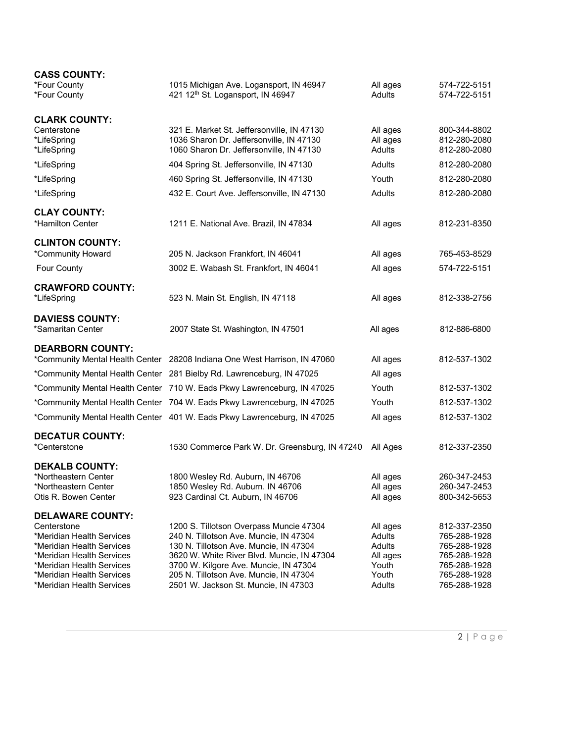| <b>CASS COUNTY:</b>                                    |                                                                                      |                  |                              |
|--------------------------------------------------------|--------------------------------------------------------------------------------------|------------------|------------------------------|
| *Four County                                           | 1015 Michigan Ave. Logansport, IN 46947                                              | All ages         | 574-722-5151                 |
| *Four County                                           | 421 12 <sup>th</sup> St. Logansport, IN 46947                                        | <b>Adults</b>    | 574-722-5151                 |
| <b>CLARK COUNTY:</b>                                   |                                                                                      |                  |                              |
| Centerstone                                            | 321 E. Market St. Jeffersonville, IN 47130                                           | All ages         | 800-344-8802                 |
| *LifeSpring                                            | 1036 Sharon Dr. Jeffersonville, IN 47130                                             | All ages         | 812-280-2080                 |
| *LifeSpring                                            | 1060 Sharon Dr. Jeffersonville, IN 47130                                             | <b>Adults</b>    | 812-280-2080                 |
| *LifeSpring                                            | 404 Spring St. Jeffersonville, IN 47130                                              | <b>Adults</b>    | 812-280-2080                 |
| *LifeSpring                                            | 460 Spring St. Jeffersonville, IN 47130                                              | Youth            | 812-280-2080                 |
| *LifeSpring                                            | 432 E. Court Ave. Jeffersonville, IN 47130                                           | <b>Adults</b>    | 812-280-2080                 |
| <b>CLAY COUNTY:</b>                                    |                                                                                      |                  |                              |
| *Hamilton Center                                       | 1211 E. National Ave. Brazil, IN 47834                                               | All ages         | 812-231-8350                 |
| <b>CLINTON COUNTY:</b>                                 |                                                                                      |                  |                              |
| *Community Howard                                      | 205 N. Jackson Frankfort, IN 46041                                                   | All ages         | 765-453-8529                 |
| <b>Four County</b>                                     | 3002 E. Wabash St. Frankfort, IN 46041                                               | All ages         | 574-722-5151                 |
| <b>CRAWFORD COUNTY:</b>                                |                                                                                      |                  |                              |
| *LifeSpring                                            | 523 N. Main St. English, IN 47118                                                    | All ages         | 812-338-2756                 |
| <b>DAVIESS COUNTY:</b>                                 |                                                                                      |                  |                              |
| *Samaritan Center                                      | 2007 State St. Washington, IN 47501                                                  | All ages         | 812-886-6800                 |
| <b>DEARBORN COUNTY:</b>                                |                                                                                      |                  |                              |
|                                                        | *Community Mental Health Center 28208 Indiana One West Harrison, IN 47060            | All ages         | 812-537-1302                 |
|                                                        | *Community Mental Health Center 281 Bielby Rd. Lawrenceburg, IN 47025                | All ages         |                              |
|                                                        | *Community Mental Health Center 710 W. Eads Pkwy Lawrenceburg, IN 47025              | Youth            | 812-537-1302                 |
|                                                        | *Community Mental Health Center 704 W. Eads Pkwy Lawrenceburg, IN 47025              | Youth            | 812-537-1302                 |
|                                                        | *Community Mental Health Center 401 W. Eads Pkwy Lawrenceburg, IN 47025              | All ages         | 812-537-1302                 |
| <b>DECATUR COUNTY:</b>                                 |                                                                                      |                  |                              |
| *Centerstone                                           | 1530 Commerce Park W. Dr. Greensburg, IN 47240                                       | All Ages         | 812-337-2350                 |
| <b>DEKALB COUNTY:</b>                                  |                                                                                      |                  |                              |
| *Northeastern Center                                   | 1800 Wesley Rd. Auburn, IN 46706                                                     | All ages         | 260-347-2453                 |
| *Northeastern Center                                   | 1850 Wesley Rd. Auburn. IN 46706                                                     | All ages         | 260-347-2453                 |
| Otis R. Bowen Center                                   | 923 Cardinal Ct. Auburn, IN 46706                                                    | All ages         | 800-342-5653                 |
| <b>DELAWARE COUNTY:</b>                                |                                                                                      |                  |                              |
| Centerstone                                            | 1200 S. Tillotson Overpass Muncie 47304                                              | All ages         | 812-337-2350                 |
| *Meridian Health Services<br>*Meridian Health Services | 240 N. Tillotson Ave. Muncie, IN 47304                                               | Adults<br>Adults | 765-288-1928                 |
| *Meridian Health Services                              | 130 N. Tillotson Ave. Muncie, IN 47304<br>3620 W. White River Blvd. Muncie, IN 47304 | All ages         | 765-288-1928<br>765-288-1928 |
| *Meridian Health Services                              | 3700 W. Kilgore Ave. Muncie, IN 47304                                                | Youth            | 765-288-1928                 |
| *Meridian Health Services                              | 205 N. Tillotson Ave. Muncie, IN 47304                                               | Youth            | 765-288-1928                 |
| *Meridian Health Services                              | 2501 W. Jackson St. Muncie, IN 47303                                                 | Adults           | 765-288-1928                 |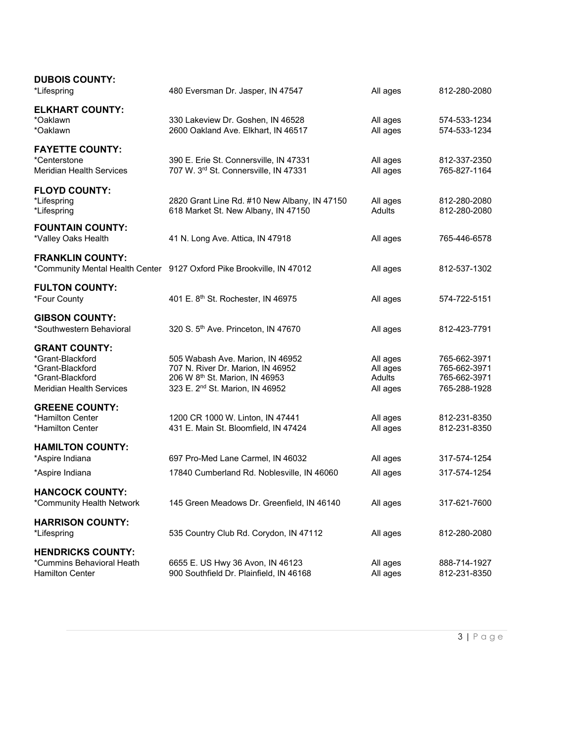| <b>DUBOIS COUNTY:</b><br>*Lifespring                                                                                | 480 Eversman Dr. Jasper, IN 47547                                                                                                                                  | All ages                                   | 812-280-2080                                                 |
|---------------------------------------------------------------------------------------------------------------------|--------------------------------------------------------------------------------------------------------------------------------------------------------------------|--------------------------------------------|--------------------------------------------------------------|
| <b>ELKHART COUNTY:</b><br>*Oaklawn<br>*Oaklawn                                                                      | 330 Lakeview Dr. Goshen, IN 46528<br>2600 Oakland Ave. Elkhart, IN 46517                                                                                           | All ages<br>All ages                       | 574-533-1234<br>574-533-1234                                 |
| <b>FAYETTE COUNTY:</b><br>*Centerstone<br><b>Meridian Health Services</b>                                           | 390 E. Erie St. Connersville, IN 47331<br>707 W. 3rd St. Connersville, IN 47331                                                                                    | All ages<br>All ages                       | 812-337-2350<br>765-827-1164                                 |
| <b>FLOYD COUNTY:</b><br>*Lifespring<br>*Lifespring                                                                  | 2820 Grant Line Rd. #10 New Albany, IN 47150<br>618 Market St. New Albany, IN 47150                                                                                | All ages<br>Adults                         | 812-280-2080<br>812-280-2080                                 |
| <b>FOUNTAIN COUNTY:</b><br>*Valley Oaks Health                                                                      | 41 N. Long Ave. Attica, IN 47918                                                                                                                                   | All ages                                   | 765-446-6578                                                 |
| <b>FRANKLIN COUNTY:</b>                                                                                             | *Community Mental Health Center 9127 Oxford Pike Brookville, IN 47012                                                                                              | All ages                                   | 812-537-1302                                                 |
| <b>FULTON COUNTY:</b><br>*Four County                                                                               | 401 E. 8th St. Rochester, IN 46975                                                                                                                                 | All ages                                   | 574-722-5151                                                 |
| <b>GIBSON COUNTY:</b><br>*Southwestern Behavioral                                                                   | 320 S. 5th Ave. Princeton, IN 47670                                                                                                                                | All ages                                   | 812-423-7791                                                 |
| <b>GRANT COUNTY:</b><br>*Grant-Blackford<br>*Grant-Blackford<br>*Grant-Blackford<br><b>Meridian Health Services</b> | 505 Wabash Ave. Marion, IN 46952<br>707 N. River Dr. Marion, IN 46952<br>206 W 8 <sup>th</sup> St. Marion, IN 46953<br>323 E. 2 <sup>nd</sup> St. Marion, IN 46952 | All ages<br>All ages<br>Adults<br>All ages | 765-662-3971<br>765-662-3971<br>765-662-3971<br>765-288-1928 |
| <b>GREENE COUNTY:</b><br>*Hamilton Center<br>*Hamilton Center                                                       | 1200 CR 1000 W. Linton, IN 47441<br>431 E. Main St. Bloomfield, IN 47424                                                                                           | All ages<br>All ages                       | 812-231-8350<br>812-231-8350                                 |
| <b>HAMILTON COUNTY:</b><br>*Aspire Indiana                                                                          | 697 Pro-Med Lane Carmel, IN 46032                                                                                                                                  | All ages                                   | 317-574-1254                                                 |
| *Aspire Indiana                                                                                                     | 17840 Cumberland Rd. Noblesville, IN 46060                                                                                                                         | All ages                                   | 317-574-1254                                                 |
| <b>HANCOCK COUNTY:</b><br>*Community Health Network                                                                 | 145 Green Meadows Dr. Greenfield, IN 46140                                                                                                                         | All ages                                   | 317-621-7600                                                 |
| <b>HARRISON COUNTY:</b><br>*Lifespring                                                                              | 535 Country Club Rd. Corydon, IN 47112                                                                                                                             | All ages                                   | 812-280-2080                                                 |
| <b>HENDRICKS COUNTY:</b><br>*Cummins Behavioral Heath<br><b>Hamilton Center</b>                                     | 6655 E. US Hwy 36 Avon, IN 46123<br>900 Southfield Dr. Plainfield, IN 46168                                                                                        | All ages<br>All ages                       | 888-714-1927<br>812-231-8350                                 |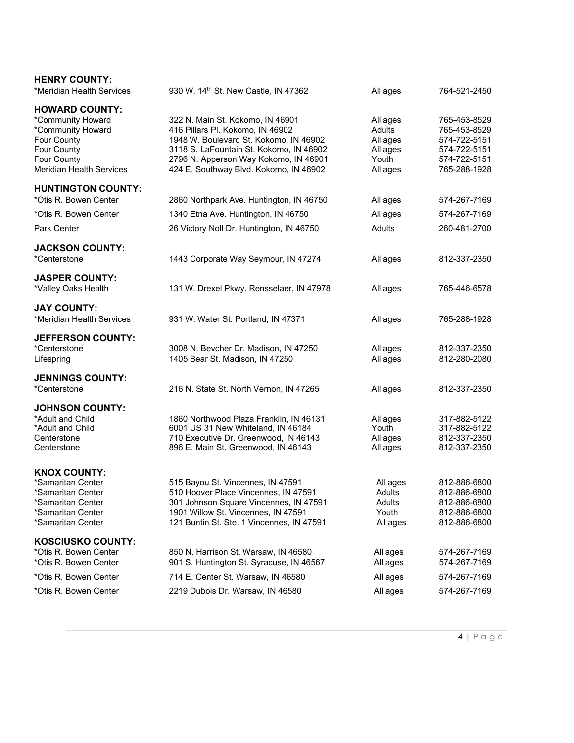| <b>HENRY COUNTY:</b><br>*Meridian Health Services                                                                                               | 930 W. 14th St. New Castle, IN 47362                                                                                                                                                                                                         | All ages                                                        | 764-521-2450                                                                                 |
|-------------------------------------------------------------------------------------------------------------------------------------------------|----------------------------------------------------------------------------------------------------------------------------------------------------------------------------------------------------------------------------------------------|-----------------------------------------------------------------|----------------------------------------------------------------------------------------------|
| <b>HOWARD COUNTY:</b><br>*Community Howard<br>*Community Howard<br>Four County<br>Four County<br>Four County<br><b>Meridian Health Services</b> | 322 N. Main St. Kokomo, IN 46901<br>416 Pillars Pl. Kokomo, IN 46902<br>1948 W. Boulevard St. Kokomo, IN 46902<br>3118 S. LaFountain St. Kokomo, IN 46902<br>2796 N. Apperson Way Kokomo, IN 46901<br>424 E. Southway Blvd. Kokomo, IN 46902 | All ages<br>Adults<br>All ages<br>All ages<br>Youth<br>All ages | 765-453-8529<br>765-453-8529<br>574-722-5151<br>574-722-5151<br>574-722-5151<br>765-288-1928 |
| <b>HUNTINGTON COUNTY:</b><br>*Otis R. Bowen Center                                                                                              | 2860 Northpark Ave. Huntington, IN 46750                                                                                                                                                                                                     | All ages                                                        | 574-267-7169                                                                                 |
| *Otis R. Bowen Center                                                                                                                           | 1340 Etna Ave. Huntington, IN 46750                                                                                                                                                                                                          | All ages                                                        | 574-267-7169                                                                                 |
| Park Center                                                                                                                                     | 26 Victory Noll Dr. Huntington, IN 46750                                                                                                                                                                                                     | Adults                                                          | 260-481-2700                                                                                 |
| <b>JACKSON COUNTY:</b><br>*Centerstone                                                                                                          | 1443 Corporate Way Seymour, IN 47274                                                                                                                                                                                                         | All ages                                                        | 812-337-2350                                                                                 |
| <b>JASPER COUNTY:</b><br>*Valley Oaks Health                                                                                                    | 131 W. Drexel Pkwy. Rensselaer, IN 47978                                                                                                                                                                                                     | All ages                                                        | 765-446-6578                                                                                 |
| <b>JAY COUNTY:</b><br>*Meridian Health Services                                                                                                 | 931 W. Water St. Portland, IN 47371                                                                                                                                                                                                          | All ages                                                        | 765-288-1928                                                                                 |
| <b>JEFFERSON COUNTY:</b><br>*Centerstone<br>Lifespring                                                                                          | 3008 N. Bevcher Dr. Madison, IN 47250<br>1405 Bear St. Madison, IN 47250                                                                                                                                                                     | All ages<br>All ages                                            | 812-337-2350<br>812-280-2080                                                                 |
| <b>JENNINGS COUNTY:</b><br>*Centerstone                                                                                                         | 216 N. State St. North Vernon, IN 47265                                                                                                                                                                                                      | All ages                                                        | 812-337-2350                                                                                 |
| <b>JOHNSON COUNTY:</b><br>*Adult and Child<br>*Adult and Child<br>Centerstone<br>Centerstone                                                    | 1860 Northwood Plaza Franklin, IN 46131<br>6001 US 31 New Whiteland, IN 46184<br>710 Executive Dr. Greenwood, IN 46143<br>896 E. Main St. Greenwood, IN 46143                                                                                | All ages<br>Youth<br>All ages<br>All ages                       | 317-882-5122<br>317-882-5122<br>812-337-2350<br>812-337-2350                                 |
| <b>KNOX COUNTY:</b><br>*Samaritan Center<br>*Samaritan Center<br>*Samaritan Center<br>*Samaritan Center<br>*Samaritan Center                    | 515 Bayou St. Vincennes, IN 47591<br>510 Hoover Place Vincennes, IN 47591<br>301 Johnson Square Vincennes, IN 47591<br>1901 Willow St. Vincennes, IN 47591<br>121 Buntin St. Ste. 1 Vincennes, IN 47591                                      | All ages<br>Adults<br>Adults<br>Youth<br>All ages               | 812-886-6800<br>812-886-6800<br>812-886-6800<br>812-886-6800<br>812-886-6800                 |
| <b>KOSCIUSKO COUNTY:</b><br>*Otis R. Bowen Center<br>*Otis R. Bowen Center                                                                      | 850 N. Harrison St. Warsaw, IN 46580<br>901 S. Huntington St. Syracuse, IN 46567                                                                                                                                                             | All ages<br>All ages                                            | 574-267-7169<br>574-267-7169                                                                 |
| *Otis R. Bowen Center                                                                                                                           | 714 E. Center St. Warsaw, IN 46580                                                                                                                                                                                                           | All ages                                                        | 574-267-7169                                                                                 |
| *Otis R. Bowen Center                                                                                                                           | 2219 Dubois Dr. Warsaw, IN 46580                                                                                                                                                                                                             | All ages                                                        | 574-267-7169                                                                                 |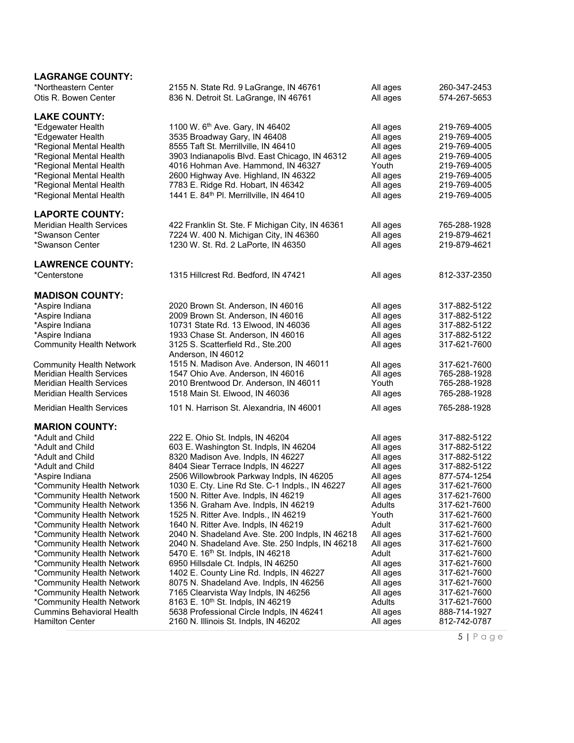| <b>LAGRANGE COUNTY:</b>                                |                                                                                 |                      |                              |
|--------------------------------------------------------|---------------------------------------------------------------------------------|----------------------|------------------------------|
| *Northeastern Center<br>Otis R. Bowen Center           | 2155 N. State Rd. 9 LaGrange, IN 46761<br>836 N. Detroit St. LaGrange, IN 46761 | All ages<br>All ages | 260-347-2453<br>574-267-5653 |
| <b>LAKE COUNTY:</b>                                    |                                                                                 |                      |                              |
| *Edgewater Health                                      | 1100 W. 6 <sup>th</sup> Ave. Gary, IN 46402                                     | All ages             | 219-769-4005                 |
| *Edgewater Health                                      | 3535 Broadway Gary, IN 46408                                                    | All ages             | 219-769-4005                 |
| *Regional Mental Health                                | 8555 Taft St. Merrillville, IN 46410                                            | All ages             | 219-769-4005                 |
| *Regional Mental Health                                | 3903 Indianapolis Blvd. East Chicago, IN 46312                                  | All ages             | 219-769-4005                 |
| *Regional Mental Health                                | 4016 Hohman Ave. Hammond, IN 46327                                              | Youth                | 219-769-4005                 |
| *Regional Mental Health                                | 2600 Highway Ave. Highland, IN 46322                                            | All ages             | 219-769-4005                 |
| *Regional Mental Health                                | 7783 E. Ridge Rd. Hobart, IN 46342                                              | All ages             | 219-769-4005                 |
| *Regional Mental Health                                | 1441 E. 84th PI. Merrillville, IN 46410                                         | All ages             | 219-769-4005                 |
| <b>LAPORTE COUNTY:</b>                                 |                                                                                 |                      |                              |
| <b>Meridian Health Services</b>                        | 422 Franklin St. Ste. F Michigan City, IN 46361                                 | All ages             | 765-288-1928                 |
| *Swanson Center                                        | 7224 W. 400 N. Michigan City, IN 46360                                          | All ages             | 219-879-4621                 |
| *Swanson Center                                        | 1230 W. St. Rd. 2 LaPorte, IN 46350                                             | All ages             | 219-879-4621                 |
| <b>LAWRENCE COUNTY:</b>                                |                                                                                 |                      |                              |
| *Centerstone                                           | 1315 Hillcrest Rd. Bedford, IN 47421                                            | All ages             | 812-337-2350                 |
| <b>MADISON COUNTY:</b>                                 |                                                                                 |                      |                              |
| *Aspire Indiana                                        | 2020 Brown St. Anderson, IN 46016                                               | All ages             | 317-882-5122                 |
| *Aspire Indiana                                        | 2009 Brown St. Anderson, IN 46016                                               | All ages             | 317-882-5122                 |
| *Aspire Indiana                                        | 10731 State Rd. 13 Elwood, IN 46036                                             | All ages             | 317-882-5122                 |
| *Aspire Indiana                                        | 1933 Chase St. Anderson, IN 46016                                               | All ages             | 317-882-5122                 |
| <b>Community Health Network</b>                        | 3125 S. Scatterfield Rd., Ste.200<br>Anderson, IN 46012                         | All ages             | 317-621-7600                 |
| <b>Community Health Network</b>                        | 1515 N. Madison Ave. Anderson, IN 46011                                         | All ages             | 317-621-7600                 |
| <b>Meridian Health Services</b>                        | 1547 Ohio Ave. Anderson, IN 46016                                               | All ages             | 765-288-1928                 |
| <b>Meridian Health Services</b>                        | 2010 Brentwood Dr. Anderson, IN 46011                                           | Youth                | 765-288-1928                 |
| <b>Meridian Health Services</b>                        | 1518 Main St. Elwood, IN 46036                                                  | All ages             | 765-288-1928                 |
| <b>Meridian Health Services</b>                        | 101 N. Harrison St. Alexandria, IN 46001                                        | All ages             | 765-288-1928                 |
| <b>MARION COUNTY:</b>                                  |                                                                                 |                      |                              |
| *Adult and Child                                       | 222 E. Ohio St. Indpls, IN 46204                                                | All ages             | 317-882-5122                 |
| *Adult and Child                                       | 603 E. Washington St. Indpls, IN 46204                                          | All ages             | 317-882-5122                 |
| *Adult and Child                                       | 8320 Madison Ave. Indpls, IN 46227                                              | All ages             | 317-882-5122                 |
| *Adult and Child                                       | 8404 Siear Terrace Indpls, IN 46227                                             | All ages             | 317-882-5122                 |
| *Aspire Indiana                                        | 2506 Willowbrook Parkway Indpls, IN 46205                                       | All ages             | 877-574-1254                 |
| *Community Health Network                              | 1030 E. Cty. Line Rd Ste. C-1 Indpls., IN 46227                                 | All ages             | 317-621-7600                 |
| *Community Health Network<br>*Community Health Network | 1500 N. Ritter Ave. Indpls, IN 46219<br>1356 N. Graham Ave. Indpls, IN 46219    | All ages<br>Adults   | 317-621-7600<br>317-621-7600 |
| *Community Health Network                              | 1525 N. Ritter Ave. Indpls., IN 46219                                           | Youth                | 317-621-7600                 |
| *Community Health Network                              | 1640 N. Ritter Ave. Indpls, IN 46219                                            | Adult                | 317-621-7600                 |
| *Community Health Network                              | 2040 N. Shadeland Ave. Ste. 200 Indpls, IN 46218                                | All ages             | 317-621-7600                 |
| *Community Health Network                              | 2040 N. Shadeland Ave. Ste. 250 Indpls, IN 46218                                | All ages             | 317-621-7600                 |
| *Community Health Network                              | 5470 E. 16 <sup>th</sup> St. Indpls, IN 46218                                   | Adult                | 317-621-7600                 |
| *Community Health Network                              | 6950 Hillsdale Ct. Indpls, IN 46250                                             | All ages             | 317-621-7600                 |
| *Community Health Network                              | 1402 E. County Line Rd. Indpls, IN 46227                                        | All ages             | 317-621-7600                 |
| *Community Health Network                              | 8075 N. Shadeland Ave. Indpls, IN 46256                                         | All ages             | 317-621-7600                 |
| *Community Health Network                              | 7165 Clearvista Way Indpls, IN 46256                                            | All ages             | 317-621-7600                 |
| *Community Health Network                              | 8163 E. 10th St. Indpls, IN 46219                                               | Adults               | 317-621-7600                 |
| <b>Cummins Behavioral Health</b>                       | 5638 Professional Circle Indpls, IN 46241                                       | All ages             | 888-714-1927                 |
| <b>Hamilton Center</b>                                 | 2160 N. Illinois St. Indpls, IN 46202                                           | All ages             | 812-742-0787                 |

5 | P a g e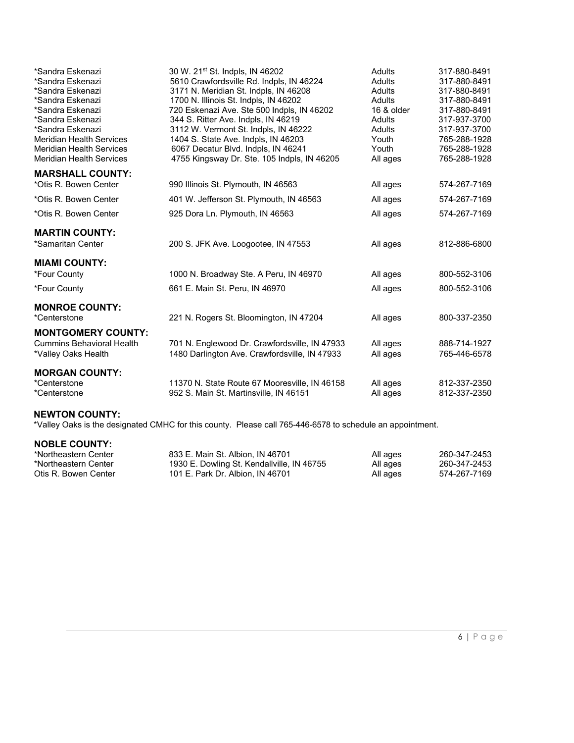| *Sandra Eskenazi<br>*Sandra Eskenazi<br>*Sandra Eskenazi<br>*Sandra Eskenazi<br>*Sandra Eskenazi<br>*Sandra Eskenazi<br>*Sandra Eskenazi<br><b>Meridian Health Services</b><br><b>Meridian Health Services</b><br><b>Meridian Health Services</b> | 30 W. 21 <sup>st</sup> St. Indpls, IN 46202<br>5610 Crawfordsville Rd. Indpls, IN 46224<br>3171 N. Meridian St. Indpls, IN 46208<br>1700 N. Illinois St. Indpls, IN 46202<br>720 Eskenazi Ave. Ste 500 Indpls, IN 46202<br>344 S. Ritter Ave. Indpls, IN 46219<br>3112 W. Vermont St. Indpls, IN 46222<br>1404 S. State Ave. Indpls, IN 46203<br>6067 Decatur Blvd. Indpls, IN 46241<br>4755 Kingsway Dr. Ste. 105 Indpls, IN 46205 | <b>Adults</b><br>Adults<br>Adults<br>Adults<br>16 & older<br>Adults<br><b>Adults</b><br>Youth<br>Youth<br>All ages | 317-880-8491<br>317-880-8491<br>317-880-8491<br>317-880-8491<br>317-880-8491<br>317-937-3700<br>317-937-3700<br>765-288-1928<br>765-288-1928<br>765-288-1928 |
|---------------------------------------------------------------------------------------------------------------------------------------------------------------------------------------------------------------------------------------------------|-------------------------------------------------------------------------------------------------------------------------------------------------------------------------------------------------------------------------------------------------------------------------------------------------------------------------------------------------------------------------------------------------------------------------------------|--------------------------------------------------------------------------------------------------------------------|--------------------------------------------------------------------------------------------------------------------------------------------------------------|
| <b>MARSHALL COUNTY:</b>                                                                                                                                                                                                                           |                                                                                                                                                                                                                                                                                                                                                                                                                                     |                                                                                                                    |                                                                                                                                                              |
| *Otis R. Bowen Center                                                                                                                                                                                                                             | 990 Illinois St. Plymouth, IN 46563                                                                                                                                                                                                                                                                                                                                                                                                 | All ages                                                                                                           | 574-267-7169                                                                                                                                                 |
| *Otis R. Bowen Center                                                                                                                                                                                                                             | 401 W. Jefferson St. Plymouth, IN 46563                                                                                                                                                                                                                                                                                                                                                                                             | All ages                                                                                                           | 574-267-7169                                                                                                                                                 |
| *Otis R. Bowen Center                                                                                                                                                                                                                             | 925 Dora Ln. Plymouth, IN 46563                                                                                                                                                                                                                                                                                                                                                                                                     | All ages                                                                                                           | 574-267-7169                                                                                                                                                 |
| <b>MARTIN COUNTY:</b>                                                                                                                                                                                                                             |                                                                                                                                                                                                                                                                                                                                                                                                                                     |                                                                                                                    |                                                                                                                                                              |
| *Samaritan Center                                                                                                                                                                                                                                 | 200 S. JFK Ave. Loogootee, IN 47553                                                                                                                                                                                                                                                                                                                                                                                                 | All ages                                                                                                           | 812-886-6800                                                                                                                                                 |
| <b>MIAMI COUNTY:</b>                                                                                                                                                                                                                              |                                                                                                                                                                                                                                                                                                                                                                                                                                     |                                                                                                                    |                                                                                                                                                              |
| *Four County                                                                                                                                                                                                                                      | 1000 N. Broadway Ste. A Peru, IN 46970                                                                                                                                                                                                                                                                                                                                                                                              | All ages                                                                                                           | 800-552-3106                                                                                                                                                 |
| *Four County                                                                                                                                                                                                                                      | 661 E. Main St. Peru, IN 46970                                                                                                                                                                                                                                                                                                                                                                                                      | All ages                                                                                                           | 800-552-3106                                                                                                                                                 |
| <b>MONROE COUNTY:</b>                                                                                                                                                                                                                             |                                                                                                                                                                                                                                                                                                                                                                                                                                     |                                                                                                                    |                                                                                                                                                              |
| *Centerstone                                                                                                                                                                                                                                      | 221 N. Rogers St. Bloomington, IN 47204                                                                                                                                                                                                                                                                                                                                                                                             | All ages                                                                                                           | 800-337-2350                                                                                                                                                 |
| <b>MONTGOMERY COUNTY:</b><br><b>Cummins Behavioral Health</b><br>*Valley Oaks Health                                                                                                                                                              | 701 N. Englewood Dr. Crawfordsville, IN 47933<br>1480 Darlington Ave. Crawfordsville, IN 47933                                                                                                                                                                                                                                                                                                                                      | All ages<br>All ages                                                                                               | 888-714-1927<br>765-446-6578                                                                                                                                 |
| <b>MORGAN COUNTY:</b><br>*Centerstone<br>*Centerstone                                                                                                                                                                                             | 11370 N. State Route 67 Mooresville, IN 46158<br>952 S. Main St. Martinsville, IN 46151                                                                                                                                                                                                                                                                                                                                             | All ages<br>All ages                                                                                               | 812-337-2350<br>812-337-2350                                                                                                                                 |

## **NEWTON COUNTY:**

\*Valley Oaks is the designated CMHC for this county. Please call 765-446-6578 to schedule an appointment.

#### **NOBLE COUNTY:**

| *Northeastern Center | 833 E. Main St. Albion. IN 46701           | All ages | 260-347-2453 |
|----------------------|--------------------------------------------|----------|--------------|
| *Northeastern Center | 1930 E. Dowling St. Kendallville, IN 46755 | All ages | 260-347-2453 |
| Otis R. Bowen Center | 101 E. Park Dr. Albion. IN 46701           | All ages | 574-267-7169 |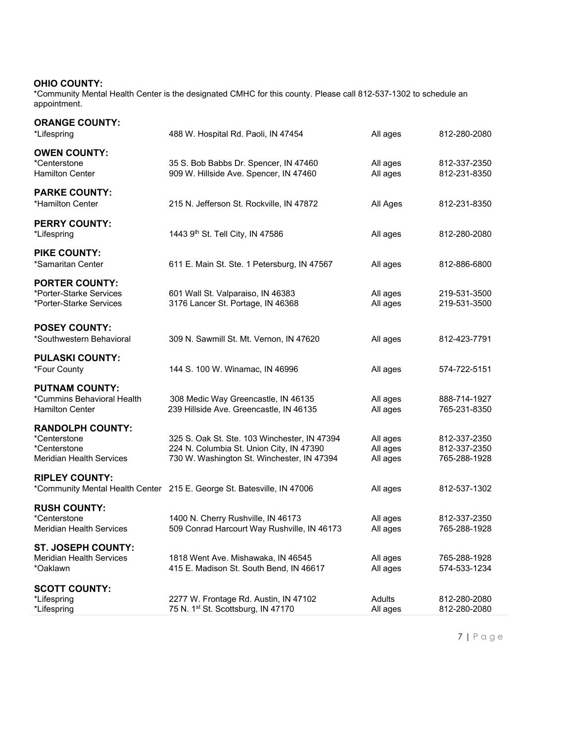#### **OHIO COUNTY:**

\*Community Mental Health Center is the designated CMHC for this county. Please call 812-537-1302 to schedule an appointment.

| <b>ORANGE COUNTY:</b><br>*Lifespring                                                       | 488 W. Hospital Rd. Paoli, IN 47454                                                                                                    | All ages                         | 812-280-2080                                 |
|--------------------------------------------------------------------------------------------|----------------------------------------------------------------------------------------------------------------------------------------|----------------------------------|----------------------------------------------|
| <b>OWEN COUNTY:</b><br>*Centerstone<br>Hamilton Center                                     | 35 S. Bob Babbs Dr. Spencer, IN 47460<br>909 W. Hillside Ave. Spencer, IN 47460                                                        | All ages<br>All ages             | 812-337-2350<br>812-231-8350                 |
| <b>PARKE COUNTY:</b><br>*Hamilton Center                                                   | 215 N. Jefferson St. Rockville, IN 47872                                                                                               | All Ages                         | 812-231-8350                                 |
| <b>PERRY COUNTY:</b><br>*Lifespring                                                        | 1443 9th St. Tell City, IN 47586                                                                                                       | All ages                         | 812-280-2080                                 |
| <b>PIKE COUNTY:</b><br>*Samaritan Center                                                   | 611 E. Main St. Ste. 1 Petersburg, IN 47567                                                                                            | All ages                         | 812-886-6800                                 |
| <b>PORTER COUNTY:</b><br>*Porter-Starke Services<br>*Porter-Starke Services                | 601 Wall St. Valparaiso, IN 46383<br>3176 Lancer St. Portage, IN 46368                                                                 | All ages<br>All ages             | 219-531-3500<br>219-531-3500                 |
| <b>POSEY COUNTY:</b><br>*Southwestern Behavioral                                           | 309 N. Sawmill St. Mt. Vernon, IN 47620                                                                                                | All ages                         | 812-423-7791                                 |
| <b>PULASKI COUNTY:</b><br>*Four County                                                     | 144 S. 100 W. Winamac, IN 46996                                                                                                        | All ages                         | 574-722-5151                                 |
| <b>PUTNAM COUNTY:</b><br>*Cummins Behavioral Health<br>Hamilton Center                     | 308 Medic Way Greencastle, IN 46135<br>239 Hillside Ave. Greencastle, IN 46135                                                         | All ages<br>All ages             | 888-714-1927<br>765-231-8350                 |
| <b>RANDOLPH COUNTY:</b><br>*Centerstone<br>*Centerstone<br><b>Meridian Health Services</b> | 325 S. Oak St. Ste. 103 Winchester, IN 47394<br>224 N. Columbia St. Union City, IN 47390<br>730 W. Washington St. Winchester, IN 47394 | All ages<br>All ages<br>All ages | 812-337-2350<br>812-337-2350<br>765-288-1928 |
| <b>RIPLEY COUNTY:</b>                                                                      | *Community Mental Health Center 215 E. George St. Batesville, IN 47006                                                                 | All ages                         | 812-537-1302                                 |
| <b>RUSH COUNTY:</b><br>*Centerstone<br>Meridian Health Services                            | 1400 N. Cherry Rushville, IN 46173<br>509 Conrad Harcourt Way Rushville, IN 46173                                                      | All ages<br>All ages             | 812-337-2350<br>765-288-1928                 |
| ST. JOSEPH COUNTY:<br>Meridian Health Services<br>*Oaklawn                                 | 1818 Went Ave. Mishawaka, IN 46545<br>415 E. Madison St. South Bend, IN 46617                                                          | All ages<br>All ages             | 765-288-1928<br>574-533-1234                 |
| <b>SCOTT COUNTY:</b><br>*Lifespring<br>*Lifespring                                         | 2277 W. Frontage Rd. Austin, IN 47102<br>75 N. 1 <sup>st</sup> St. Scottsburg, IN 47170                                                | Adults<br>All ages               | 812-280-2080<br>812-280-2080                 |

7 | P a g e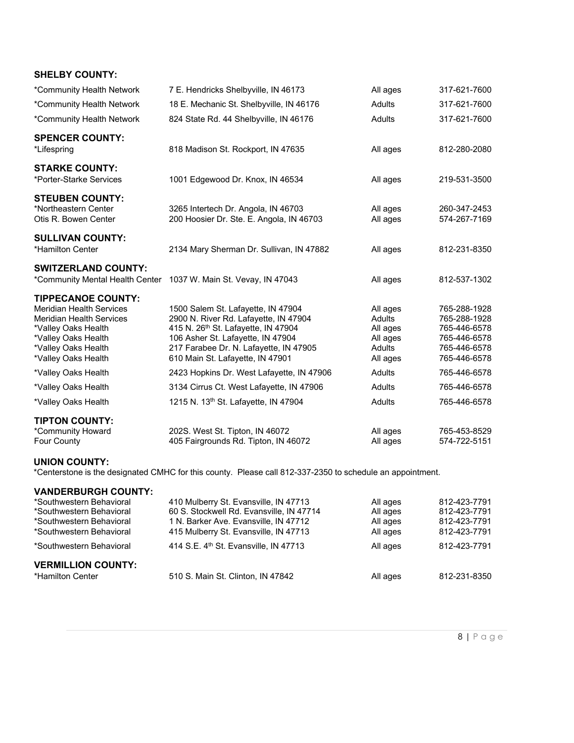| <b>SHELBY COUNTY:</b>                                                                                                                                                                       |                                                                                                                                                                                                                                                   |                                                                         |                                                                                              |
|---------------------------------------------------------------------------------------------------------------------------------------------------------------------------------------------|---------------------------------------------------------------------------------------------------------------------------------------------------------------------------------------------------------------------------------------------------|-------------------------------------------------------------------------|----------------------------------------------------------------------------------------------|
| *Community Health Network                                                                                                                                                                   | 7 E. Hendricks Shelbyville, IN 46173                                                                                                                                                                                                              | All ages                                                                | 317-621-7600                                                                                 |
| *Community Health Network                                                                                                                                                                   | 18 E. Mechanic St. Shelbyville, IN 46176                                                                                                                                                                                                          | <b>Adults</b>                                                           | 317-621-7600                                                                                 |
| *Community Health Network                                                                                                                                                                   | 824 State Rd. 44 Shelbyville, IN 46176                                                                                                                                                                                                            | Adults                                                                  | 317-621-7600                                                                                 |
| <b>SPENCER COUNTY:</b><br>*Lifespring                                                                                                                                                       | 818 Madison St. Rockport, IN 47635                                                                                                                                                                                                                | All ages                                                                | 812-280-2080                                                                                 |
| <b>STARKE COUNTY:</b><br>*Porter-Starke Services                                                                                                                                            | 1001 Edgewood Dr. Knox, IN 46534                                                                                                                                                                                                                  | All ages                                                                | 219-531-3500                                                                                 |
| <b>STEUBEN COUNTY:</b><br>*Northeastern Center<br>Otis R. Bowen Center                                                                                                                      | 3265 Intertech Dr. Angola, IN 46703<br>200 Hoosier Dr. Ste. E. Angola, IN 46703                                                                                                                                                                   | All ages<br>All ages                                                    | 260-347-2453<br>574-267-7169                                                                 |
| <b>SULLIVAN COUNTY:</b><br>*Hamilton Center                                                                                                                                                 | 2134 Mary Sherman Dr. Sullivan, IN 47882                                                                                                                                                                                                          | All ages                                                                | 812-231-8350                                                                                 |
| <b>SWITZERLAND COUNTY:</b><br>*Community Mental Health Center                                                                                                                               | 1037 W. Main St. Vevay, IN 47043                                                                                                                                                                                                                  | All ages                                                                | 812-537-1302                                                                                 |
| <b>TIPPECANOE COUNTY:</b><br><b>Meridian Health Services</b><br><b>Meridian Health Services</b><br>*Valley Oaks Health<br>*Valley Oaks Health<br>*Valley Oaks Health<br>*Valley Oaks Health | 1500 Salem St. Lafayette, IN 47904<br>2900 N. River Rd. Lafayette, IN 47904<br>415 N. 26 <sup>th</sup> St. Lafayette, IN 47904<br>106 Asher St. Lafayette, IN 47904<br>217 Farabee Dr. N. Lafayette, IN 47905<br>610 Main St. Lafayette, IN 47901 | All ages<br><b>Adults</b><br>All ages<br>All ages<br>Adults<br>All ages | 765-288-1928<br>765-288-1928<br>765-446-6578<br>765-446-6578<br>765-446-6578<br>765-446-6578 |
| *Valley Oaks Health                                                                                                                                                                         | 2423 Hopkins Dr. West Lafayette, IN 47906                                                                                                                                                                                                         | Adults                                                                  | 765-446-6578                                                                                 |
| *Valley Oaks Health                                                                                                                                                                         | 3134 Cirrus Ct. West Lafayette, IN 47906                                                                                                                                                                                                          | <b>Adults</b>                                                           | 765-446-6578                                                                                 |
| *Valley Oaks Health                                                                                                                                                                         | 1215 N. 13th St. Lafayette, IN 47904                                                                                                                                                                                                              | <b>Adults</b>                                                           | 765-446-6578                                                                                 |
| <b>TIPTON COUNTY:</b><br>*Community Howard<br>Four County                                                                                                                                   | 202S. West St. Tipton, IN 46072<br>405 Fairgrounds Rd. Tipton, IN 46072                                                                                                                                                                           | All ages<br>All ages                                                    | 765-453-8529<br>574-722-5151                                                                 |

#### **UNION COUNTY:**

\*Centerstone is the designated CMHC for this county. Please call 812-337-2350 to schedule an appointment.

# **VANDERBURGH COUNTY:**

| *Southwestern Behavioral  | 410 Mulberry St. Evansville, IN 47713             | All ages | 812-423-7791 |
|---------------------------|---------------------------------------------------|----------|--------------|
| *Southwestern Behavioral  | 60 S. Stockwell Rd. Evansville, IN 47714          | All ages | 812-423-7791 |
| *Southwestern Behavioral  | 1 N. Barker Ave. Evansville, IN 47712             | All ages | 812-423-7791 |
| *Southwestern Behavioral  | 415 Mulberry St. Evansville, IN 47713             | All ages | 812-423-7791 |
| *Southwestern Behavioral  | 414 S.E. 4 <sup>th</sup> St. Evansville, IN 47713 | All ages | 812-423-7791 |
| <b>VERMILLION COUNTY:</b> |                                                   |          |              |
| *Hamilton Center          | 510 S. Main St. Clinton, IN 47842                 | All ages | 812-231-8350 |